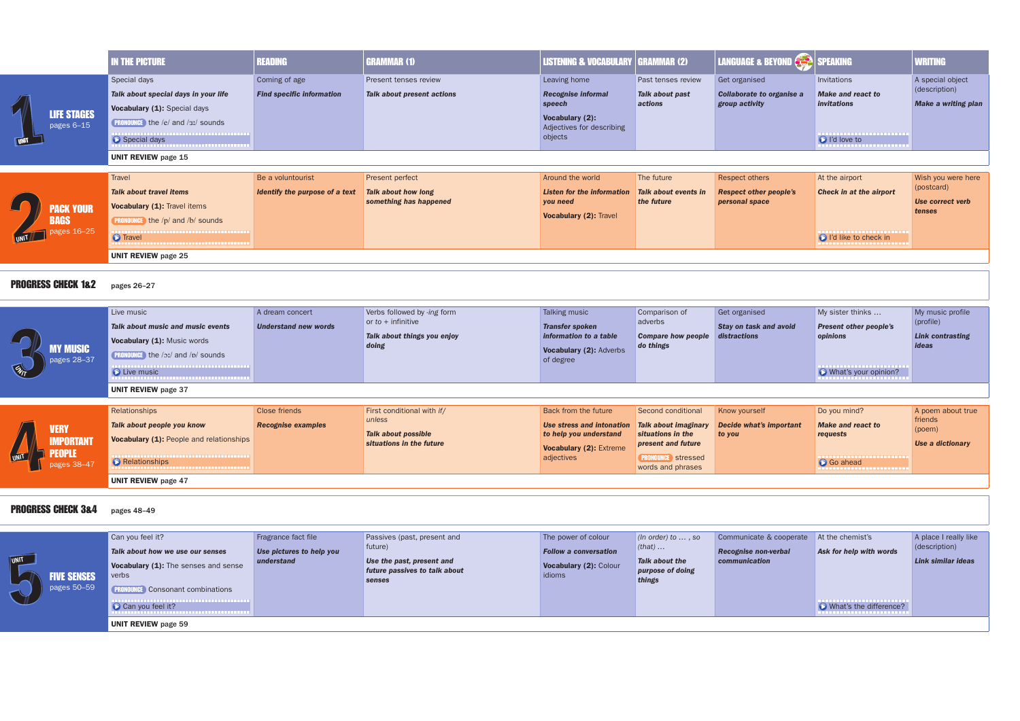|                                                                            | <b>IN THE PICTURE</b>                                                                                                                                                          | <b>READING</b>                                      | <b>GRAMMAR (1)</b>                                                                          | <b>LISTENING &amp; VOCABULARY   GRAMMAR (2)</b>                                                                |                                                                    | <b>LANGUAGE &amp; BEYOND CHAP SPEAKING</b>                               |                                                                                                                                          | <b>WRITING</b>                                      |  |
|----------------------------------------------------------------------------|--------------------------------------------------------------------------------------------------------------------------------------------------------------------------------|-----------------------------------------------------|---------------------------------------------------------------------------------------------|----------------------------------------------------------------------------------------------------------------|--------------------------------------------------------------------|--------------------------------------------------------------------------|------------------------------------------------------------------------------------------------------------------------------------------|-----------------------------------------------------|--|
| <b>LIFE STAGES</b><br>pages 6-15                                           | Special days<br>Talk about special days in your life<br>Vocabulary (1): Special days<br><b>PRONOUNCE</b> the /e/ and /31/ sounds<br>Special days<br><b>UNIT REVIEW page 15</b> | Coming of age<br><b>Find specific information</b>   | Present tenses review<br><b>Talk about present actions</b>                                  | Leaving home<br><b>Recognise informal</b><br>speech<br>Vocabulary (2):<br>Adjectives for describing<br>objects | Past tenses review<br>Talk about past<br>actions                   | Get organised<br><b>Collaborate to organise a</b><br>group activity      | Invitations<br><b>Make and react to</b><br><i>invitations</i><br>,,,,,,,,,,,,,,,,,,,,,,,,,,,,<br>id love to<br>,,,,,,,,,,,,,,,,,,,,,,,,, | A special<br>(descript<br>Make a v                  |  |
| <b>ACK YOUR</b><br><b>BAGS</b><br>pages 16-25                              | Travel<br><b>Talk about travel items</b><br>Vocabulary (1): Travel items<br><b>PRONOUNCE</b> the /p/ and /b/ sounds<br><b>O</b> Travel                                         | Be a voluntourist<br>Identify the purpose of a text | Present perfect<br><b>Talk about how long</b><br>something has happened                     | Around the world<br><b>Listen for the information</b><br>you need<br>Vocabulary (2): Travel                    | The future<br><b>Talk about events in</b><br>the future            | <b>Respect others</b><br><b>Respect other people's</b><br>personal space | At the airport<br><b>Check in at the airport</b><br>ightarrow I'd like to check in<br>,,,,,,,,,,,,,,,,,,,,,,                             | Wish you<br>(postcard<br><b>Use corre</b><br>tenses |  |
| <b>UNIT REVIEW page 25</b><br><b>PROGRESS CHECK 1&amp;2</b><br>pages 26-27 |                                                                                                                                                                                |                                                     |                                                                                             |                                                                                                                |                                                                    |                                                                          |                                                                                                                                          |                                                     |  |
| <b>MY MUSIC</b><br>pages 28-37                                             | Live music<br>Talk about music and music events<br>Vocabulary (1): Music words<br><b>PRONOUNCE</b> the /oː/ and /p/ sounds<br>----------------------------<br>C Live music     | A dream concert<br><b>Understand new words</b>      | Verbs followed by -ing form<br>or $to$ + infinitive<br>Talk about things you enjoy<br>doing | Talking music<br><b>Transfer spoken</b><br>information to a table<br>Vocabulary (2): Adverbs<br>of degree      | Comparison of<br>adverbs<br><b>Compare how people</b><br>do things | Get organised<br>Stay on task and avoid<br>distractions                  | My sister thinks<br><b>Present other people's</b><br>opinions<br>,,,,,,,,,,,,,,,,,,,,,,,,,<br>What's your opinion?                       | My musio<br>(profile)<br><b>Link cont</b><br>ideas  |  |
|                                                                            | <b>UNIT REVIEW page 37</b>                                                                                                                                                     |                                                     |                                                                                             |                                                                                                                |                                                                    |                                                                          |                                                                                                                                          |                                                     |  |
|                                                                            | <b>Relationshins</b>                                                                                                                                                           | Close friends                                       | First conditional with if/                                                                  | Back from the future                                                                                           | Second conditional                                                 | Know vourself                                                            | Do vou mind?                                                                                                                             | $\Delta$ noem $\epsilon$                            |  |

| <b>VERY</b><br><b>MPORTANT/</b><br>FUPLE<br>pages 38-47 | Relationships<br>Talk about people you know<br>Vocabulary (1): People and relationships<br>---------------------------------<br>Relationships<br>---------------------------------- | Close friends<br><b>Recognise examples</b> | First conditional with if/<br>unless<br>Talk about possible<br>situations in the future | Back from the future<br>Use stress and intonation Talk about imaginary<br>to help you understand<br><b>Vocabulary (2): Extreme</b><br>adjectives | Second conditional<br>situations in the<br><b>present and future</b><br>stressed<br>words and phrases | <b>Know yourself</b><br>Decide what's in<br>to you |
|---------------------------------------------------------|-------------------------------------------------------------------------------------------------------------------------------------------------------------------------------------|--------------------------------------------|-----------------------------------------------------------------------------------------|--------------------------------------------------------------------------------------------------------------------------------------------------|-------------------------------------------------------------------------------------------------------|----------------------------------------------------|
|                                                         | <b>UNIT REVIEW</b> page 47                                                                                                                                                          |                                            |                                                                                         |                                                                                                                                                  |                                                                                                       |                                                    |

## PROGRESS CHECK 3&4 pages 48-49



| <b>TINU</b><br><b>FIVE SENSES</b><br>pages 50-59 | Can you feel it?<br>Talk about how we use our senses<br>Vocabulary (1): The senses and sense<br>verbs<br><b>PRONOUNCE</b> Consonant combinations<br>Can you feel it? | Fragrance fact file<br>Use pictures to help you<br>understand | Passives (past, present and<br>future)<br>Use the past, present and<br>future passives to talk about<br>senses | The power of colour<br><b>Follow a conversation</b><br>Vocabulary (2): Colour<br>idioms | (In order) to $\dots$ , so<br>$(that) \dots$<br>Talk about the<br>purpose of doing<br>things | Communicate &<br><b>Recognise non-vo</b><br>communication |
|--------------------------------------------------|----------------------------------------------------------------------------------------------------------------------------------------------------------------------|---------------------------------------------------------------|----------------------------------------------------------------------------------------------------------------|-----------------------------------------------------------------------------------------|----------------------------------------------------------------------------------------------|-----------------------------------------------------------|
|                                                  | <b>UNIT REVIEW</b> page 59                                                                                                                                           |                                                               |                                                                                                                |                                                                                         |                                                                                              |                                                           |